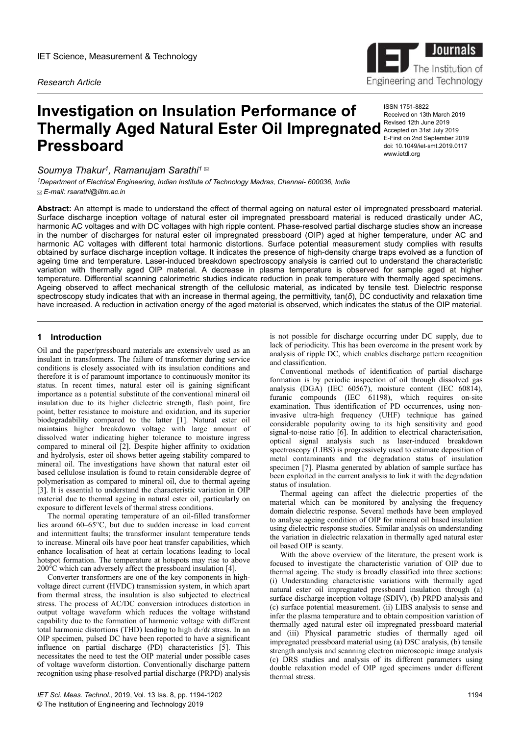*Research Article*

# **Investigation on Insulation Performance of Thermally Aged Natural Ester Oil Impregnated** Accepted 01 2th June 2019 **Pressboard**

*Soumya Thakur<sup>1</sup> , Ramanujam Sarathi<sup>1</sup>*

*<sup>1</sup>Department of Electrical Engineering, Indian Institute of Technology Madras, Chennai- 600036, India E-mail: rsarathi@iitm.ac.in*



ISSN 1751-8822 Received on 13th March 2019 Accepted on 31st July 2019 E-First on 2nd September 2019 doi: 10.1049/iet-smt.2019.0117 www.ietdl.org

**Abstract:** An attempt is made to understand the effect of thermal ageing on natural ester oil impregnated pressboard material. Surface discharge inception voltage of natural ester oil impregnated pressboard material is reduced drastically under AC, harmonic AC voltages and with DC voltages with high ripple content. Phase-resolved partial discharge studies show an increase in the number of discharges for natural ester oil impregnated pressboard (OIP) aged at higher temperature, under AC and harmonic AC voltages with different total harmonic distortions. Surface potential measurement study complies with results obtained by surface discharge inception voltage. It indicates the presence of high-density charge traps evolved as a function of ageing time and temperature. Laser-induced breakdown spectroscopy analysis is carried out to understand the characteristic variation with thermally aged OIP material. A decrease in plasma temperature is observed for sample aged at higher temperature. Differential scanning calorimetric studies indicate reduction in peak temperature with thermally aged specimens. Ageing observed to affect mechanical strength of the cellulosic material, as indicated by tensile test. Dielectric response spectroscopy study indicates that with an increase in thermal ageing, the permittivity, tan(*δ*), DC conductivity and relaxation time have increased. A reduction in activation energy of the aged material is observed, which indicates the status of the OIP material.

# **1** Introduction

Oil and the paper/pressboard materials are extensively used as an insulant in transformers. The failure of transformer during service conditions is closely associated with its insulation conditions and therefore it is of paramount importance to continuously monitor its status. In recent times, natural ester oil is gaining significant importance as a potential substitute of the conventional mineral oil insulation due to its higher dielectric strength, flash point, fire point, better resistance to moisture and oxidation, and its superior biodegradability compared to the latter [1]. Natural ester oil maintains higher breakdown voltage with large amount of dissolved water indicating higher tolerance to moisture ingress compared to mineral oil [2]. Despite higher affinity to oxidation and hydrolysis, ester oil shows better ageing stability compared to mineral oil. The investigations have shown that natural ester oil based cellulose insulation is found to retain considerable degree of polymerisation as compared to mineral oil, due to thermal ageing [3]. It is essential to understand the characteristic variation in OIP material due to thermal ageing in natural ester oil, particularly on exposure to different levels of thermal stress conditions.

The normal operating temperature of an oil-filled transformer lies around 60–65°C, but due to sudden increase in load current and intermittent faults; the transformer insulant temperature tends to increase. Mineral oils have poor heat transfer capabilities, which enhance localisation of heat at certain locations leading to local hotspot formation. The temperature at hotspots may rise to above  $200^{\circ}$ C which can adversely affect the pressboard insulation [4].

Converter transformers are one of the key components in highvoltage direct current (HVDC) transmission system, in which apart from thermal stress, the insulation is also subjected to electrical stress. The process of AC/DC conversion introduces distortion in output voltage waveform which reduces the voltage withstand capability due to the formation of harmonic voltage with different total harmonic distortions (THD) leading to high d*v*/d*t* stress. In an OIP specimen, pulsed DC have been reported to have a significant influence on partial discharge (PD) characteristics [5]. This necessitates the need to test the OIP material under possible cases of voltage waveform distortion. Conventionally discharge pattern recognition using phase-resolved partial discharge (PRPD) analysis is not possible for discharge occurring under DC supply, due to lack of periodicity. This has been overcome in the present work by analysis of ripple DC, which enables discharge pattern recognition and classification.

Conventional methods of identification of partial discharge formation is by periodic inspection of oil through dissolved gas analysis (DGA) (IEC 60567), moisture content (IEC 60814), furanic compounds (IEC 61198), which requires on-site examination. Thus identification of PD occurrences, using noninvasive ultra-high frequency (UHF) technique has gained considerable popularity owing to its high sensitivity and good signal-to-noise ratio [6]. In addition to electrical characterisation, optical signal analysis such as laser-induced breakdown spectroscopy (LIBS) is progressively used to estimate deposition of metal contaminants and the degradation status of insulation specimen [7]. Plasma generated by ablation of sample surface has been exploited in the current analysis to link it with the degradation status of insulation.

Thermal ageing can affect the dielectric properties of the material which can be monitored by analysing the frequency domain dielectric response. Several methods have been employed to analyse ageing condition of OIP for mineral oil based insulation using dielectric response studies. Similar analysis on understanding the variation in dielectric relaxation in thermally aged natural ester oil based OIP is scanty.

With the above overview of the literature, the present work is focused to investigate the characteristic variation of OIP due to thermal ageing. The study is broadly classified into three sections: (i) Understanding characteristic variations with thermally aged natural ester oil impregnated pressboard insulation through (a) surface discharge inception voltage (SDIV), (b) PRPD analysis and (c) surface potential measurement. (ii) LIBS analysis to sense and infer the plasma temperature and to obtain composition variation of thermally aged natural ester oil impregnated pressboard material and (iii) Physical parametric studies of thermally aged oil impregnated pressboard material using (a) DSC analysis, (b) tensile strength analysis and scanning electron microscopic image analysis (c) DRS studies and analysis of its different parameters using double relaxation model of OIP aged specimens under different thermal stress.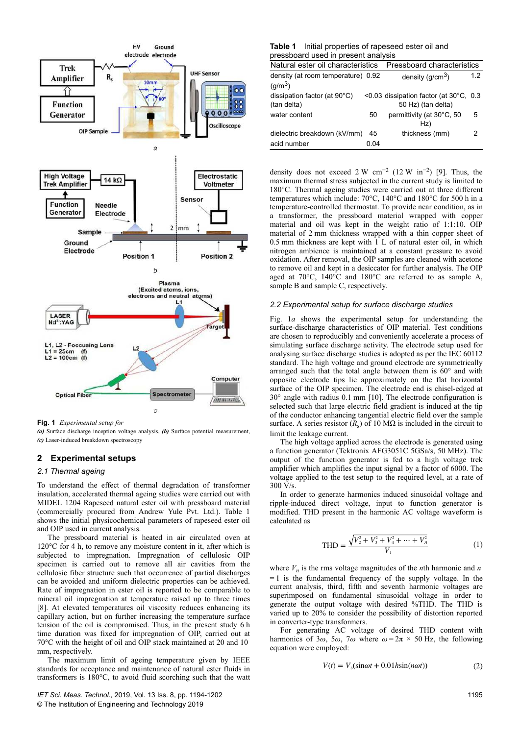

**Fig. 1** *Experimental setup for*

*(a)* Surface discharge inception voltage analysis, *(b)* Surface potential measurement, *(c)* Laser-induced breakdown spectroscopy

# **2Experimental setups**

# *2.1 Thermal ageing*

To understand the effect of thermal degradation of transformer insulation, accelerated thermal ageing studies were carried out with MIDEL 1204 Rapeseed natural ester oil with pressboard material (commercially procured from Andrew Yule Pvt. Ltd.). Table 1 shows the initial physicochemical parameters of rapeseed ester oil and OIP used in current analysis.

The pressboard material is heated in air circulated oven at 120°C for 4 h, to remove any moisture content in it, after which is subjected to impregnation. Impregnation of cellulosic OIP specimen is carried out to remove all air cavities from the cellulosic fiber structure such that occurrence of partial discharges can be avoided and uniform dielectric properties can be achieved. Rate of impregnation in ester oil is reported to be comparable to mineral oil impregnation at temperature raised up to three times [8]. At elevated temperatures oil viscosity reduces enhancing its capillary action, but on further increasing the temperature surface tension of the oil is compromised. Thus, in the present study 6 h time duration was fixed for impregnation of OIP, carried out at 70°C with the height of oil and OIP stack maintained at 20 and 10  mm, respectively.

The maximum limit of ageing temperature given by IEEE standards for acceptance and maintenance of natural ester fluids in transformers is 180°C, to avoid fluid scorching such that the watt

### **Table 1** Initial properties of rapeseed ester oil and pressboard used in present analysis

| procopodia about in procontranalyoid                  |                            |                                                              |     |  |  |  |
|-------------------------------------------------------|----------------------------|--------------------------------------------------------------|-----|--|--|--|
| Natural ester oil characteristics                     | Pressboard characteristics |                                                              |     |  |  |  |
| density (at room temperature) 0.92<br>$(g/m^3)$       |                            | density $(g/cm3)$                                            | 1.2 |  |  |  |
| dissipation factor (at $90^{\circ}$ C)<br>(tan delta) |                            | <0.03 dissipation factor (at 30°C, 0.3<br>50 Hz) (tan delta) |     |  |  |  |
| water content                                         | 50                         | permittivity (at 30°C, 50<br>Hz)                             | 5   |  |  |  |
| dielectric breakdown (kV/mm)                          | 45                         | thickness (mm)                                               | 2   |  |  |  |
| acid number                                           | 0.04                       |                                                              |     |  |  |  |

density does not exceed 2 W cm<sup>-2</sup> (12 W in<sup>-2</sup>) [9]. Thus, the maximum thermal stress subjected in the current study is limited to 180°C. Thermal ageing studies were carried out at three different temperatures which include: 70°C, 140°C and 180°C for 500 h in a temperature-controlled thermostat. To provide near condition, as in a transformer, the pressboard material wrapped with copper material and oil was kept in the weight ratio of 1:1:10. OIP material of 2 mm thickness wrapped with a thin copper sheet of 0.5 mm thickness are kept with 1 L of natural ester oil, in which nitrogen ambience is maintained at a constant pressure to avoid oxidation. After removal, the OIP samples are cleaned with acetone to remove oil and kept in a desiccator for further analysis. The OIP aged at  $70^{\circ}$ C,  $140^{\circ}$ C and  $180^{\circ}$ C are referred to as sample A, sample B and sample C, respectively.

#### *2.2 Experimental setup for surface discharge studies*

Fig. 1*a* shows the experimental setup for understanding the surface-discharge characteristics of OIP material. Test conditions are chosen to reproducibly and conveniently accelerate a process of simulating surface discharge activity. The electrode setup used for analysing surface discharge studies is adopted as per the IEC 60112 standard. The high voltage and ground electrode are symmetrically arranged such that the total angle between them is 60° and with opposite electrode tips lie approximately on the flat horizontal surface of the OIP specimen. The electrode end is chisel-edged at 30° angle with radius 0.1 mm [10]. The electrode configuration is selected such that large electric field gradient is induced at the tip of the conductor enhancing tangential electric field over the sample surface. A series resistor  $(R_s)$  of 10 M $\Omega$  is included in the circuit to limit the leakage current.

The high voltage applied across the electrode is generated using a function generator (Tektronix AFG3051C 5GSa/s, 50 MHz). The output of the function generator is fed to a high voltage trek amplifier which amplifies the input signal by a factor of 6000. The voltage applied to the test setup to the required level, at a rate of  $300 \text{ V/s}$ 

In order to generate harmonics induced sinusoidal voltage and ripple-induced direct voltage, input to function generator is modified. THD present in the harmonic AC voltage waveform is calculated as

$$
\text{THD} = \frac{\sqrt{V_2^2 + V_3^2 + V_4^2 + \dots + V_n^2}}{V_1} \tag{1}
$$

where  $V_n$  is the rms voltage magnitudes of the *n*th harmonic and *n*  $= 1$  is the fundamental frequency of the supply voltage. In the current analysis, third, fifth and seventh harmonic voltages are superimposed on fundamental sinusoidal voltage in order to generate the output voltage with desired %THD. The THD is varied up to 20% to consider the possibility of distortion reported in converter-type transformers.

For generating AC voltage of desired THD content with harmonics of  $3\omega$ ,  $5\omega$ ,  $7\omega$  where  $\omega = 2\pi \times 50$  Hz, the following equation were employed:

$$
V(t) = Vs(sin\omega t + 0.01h sin(n\omega t))
$$
 (2)

1195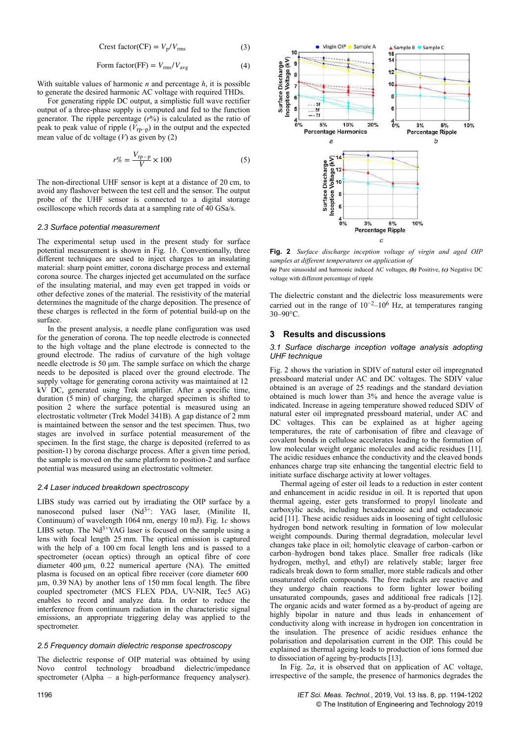$$
Crest factor (CF) = V_p / V_{rms}
$$
 (3)

$$
Form factor(FF) = V_{rms}/V_{avg}
$$
 (4)

With suitable values of harmonic *n* and percentage *h*, it is possible to generate the desired harmonic AC voltage with required THDs.

For generating ripple DC output, a simplistic full wave rectifier output of a three-phase supply is computed and fed to the function generator. The ripple percentage  $(r\%)$  is calculated as the ratio of peak to peak value of ripple ( $V_{\text{rp-p}}$ ) in the output and the expected mean value of dc voltage  $(V)$  as given by  $(2)$ 

$$
r\% = \frac{V_{\text{rp}-\text{p}}}{V} \times 100\tag{5}
$$

The non-directional UHF sensor is kept at a distance of 20 cm, to avoid any flashover between the test cell and the sensor. The output probe of the UHF sensor is connected to a digital storage oscilloscope which records data at a sampling rate of 40 GSa/s.

## *2.3 Surface potential measurement*

The experimental setup used in the present study for surface potential measurement is shown in Fig. 1*b*. Conventionally, three different techniques are used to inject charges to an insulating material: sharp point emitter, corona discharge process and external corona source. The charges injected get accumulated on the surface of the insulating material, and may even get trapped in voids or other defective zones of the material. The resistivity of the material determines the magnitude of the charge deposition. The presence of these charges is reflected in the form of potential build-up on the surface.

In the present analysis, a needle plane configuration was used for the generation of corona. The top needle electrode is connected to the high voltage and the plane electrode is connected to the ground electrode. The radius of curvature of the high voltage needle electrode is 50 μm. The sample surface on which the charge needs to be deposited is placed over the ground electrode. The supply voltage for generating corona activity was maintained at 12  kV DC, generated using Trek amplifier. After a specific time, duration (5 min) of charging, the charged specimen is shifted to position 2 where the surface potential is measured using an electrostatic voltmeter (Trek Model 341B). A gap distance of 2 mm is maintained between the sensor and the test specimen. Thus, two stages are involved in surface potential measurement of the specimen. In the first stage, the charge is deposited (referred to as position-1) by corona discharge process. After a given time period, the sample is moved on the same platform to position-2 and surface potential was measured using an electrostatic voltmeter.

## *2.4 Laser induced breakdown spectroscopy*

LIBS study was carried out by irradiating the OIP surface by a nanosecond pulsed laser  $(Nd^{3+})$ : YAG laser, (Minilite II, Continuum) of wavelength 1064 nm, energy 10 mJ). Fig. 1*c* shows LIBS setup. The  $Nd^{3+}YAG$  laser is focused on the sample using a lens with focal length 25 mm. The optical emission is captured with the help of a 100 cm focal length lens and is passed to a spectrometer (ocean optics) through an optical fibre of core diameter 400 µm, 0.22 numerical aperture (NA). The emitted plasma is focused on an optical fibre receiver (core diameter 600  µm, 0.39 NA) by another lens of 150 mm focal length. The fibre coupled spectrometer (MCS FLEX PDA, UV-NIR, Tec5 AG) enables to record and analyze data. In order to reduce the interference from continuum radiation in the characteristic signal emissions, an appropriate triggering delay was applied to the spectrometer.

## *2.5 Frequency domain dielectric response spectroscopy*

The dielectric response of OIP material was obtained by using Novo control technology broadband dielectric/impedance spectrometer (Alpha – a high-performance frequency analyser).



**Fig. 2** *Surface discharge inception voltage of virgin and aged OIP samples at different temperatures on application of*

*(a)* Pure sinusoidal and harmonic induced AC voltages, *(b)* Positive, *(c)* Negative DC voltage with different percentage of ripple

The dielectric constant and the dielectric loss measurements were carried out in the range of  $10^{-2}$ – $10^{6}$  Hz, at temperatures ranging 30–90°C.

# **3Results and discussions**

## *3.1 Surface discharge inception voltage analysis adopting UHF technique*

Fig. 2 shows the variation in SDIV of natural ester oil impregnated pressboard material under AC and DC voltages. The SDIV value obtained is an average of 25 readings and the standard deviation obtained is much lower than 3% and hence the average value is indicated. Increase in ageing temperature showed reduced SDIV of natural ester oil impregnated pressboard material, under AC and DC voltages. This can be explained as at higher ageing temperatures, the rate of carbonisation of fibre and cleavage of covalent bonds in cellulose accelerates leading to the formation of low molecular weight organic molecules and acidic residues [11]. The acidic residues enhance the conductivity and the cleaved bonds enhances charge trap site enhancing the tangential electric field to initiate surface discharge activity at lower voltages.

Thermal ageing of ester oil leads to a reduction in ester content and enhancement in acidic residue in oil. It is reported that upon thermal ageing, ester gets transformed to propyl linoleate and carboxylic acids, including hexadecanoic acid and octadecanoic acid [11]. These acidic residues aids in loosening of tight cellulosic hydrogen bond network resulting in formation of low molecular weight compounds. During thermal degradation, molecular level changes take place in oil; homolytic cleavage of carbon–carbon or carbon–hydrogen bond takes place. Smaller free radicals (like hydrogen, methyl, and ethyl) are relatively stable; larger free radicals break down to form smaller, more stable radicals and other unsaturated olefin compounds. The free radicals are reactive and they undergo chain reactions to form lighter lower boiling unsaturated compounds, gases and additional free radicals [12]. The organic acids and water formed as a by-product of ageing are highly bipolar in nature and thus leads in enhancement of conductivity along with increase in hydrogen ion concentration in the insulation. The presence of acidic residues enhance the polarisation and depolarisation current in the OIP. This could be explained as thermal ageing leads to production of ions formed due to dissociation of ageing by-products [13].

In Fig. 2*a*, it is observed that on application of AC voltage, irrespective of the sample, the presence of harmonics degrades the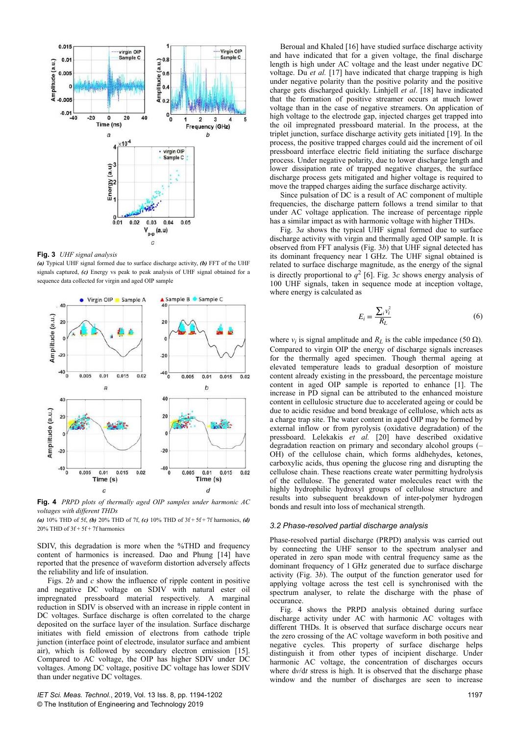

**Fig. 3** *UHF signal analysis*

*(a)* Typical UHF signal formed due to surface discharge activity, *(b)* FFT of the UHF signals captured, *(c)* Energy vs peak to peak analysis of UHF signal obtained for a sequence data collected for virgin and aged OIP sample



**Fig. 4** *PRPD plots of thermally aged OIP samples under harmonic AC voltages with different THDs*

*(a)* 10% THD of 5f, *(b)* 20% THD of 7f, *(c)* 10% THD of 3f + 5f + 7f harmonics, *(d)* 20% THD of 3f + 5f + 7f harmonics

SDIV, this degradation is more when the %THD and frequency content of harmonics is increased. Dao and Phung [14] have reported that the presence of waveform distortion adversely affects the reliability and life of insulation.

Figs. 2*b* and *c* show the influence of ripple content in positive and negative DC voltage on SDIV with natural ester oil impregnated pressboard material respectively. A marginal reduction in SDIV is observed with an increase in ripple content in DC voltages. Surface discharge is often correlated to the charge deposited on the surface layer of the insulation. Surface discharge initiates with field emission of electrons from cathode triple junction (interface point of electrode, insulator surface and ambient air), which is followed by secondary electron emission [15]. Compared to AC voltage, the OIP has higher SDIV under DC voltages. Among DC voltage, positive DC voltage has lower SDIV than under negative DC voltages.

*IET Sci. Meas. Technol.*, 2019, Vol. 13 Iss. 8, pp. 1194-1202 © The Institution of Engineering and Technology 2019

Beroual and Khaled [16] have studied surface discharge activity and have indicated that for a given voltage, the final discharge length is high under AC voltage and the least under negative DC voltage. Du *et al.* [17] have indicated that charge trapping is high under negative polarity than the positive polarity and the positive charge gets discharged quickly. Linhjell *et al*. [18] have indicated that the formation of positive streamer occurs at much lower voltage than in the case of negative streamers. On application of high voltage to the electrode gap, injected charges get trapped into the oil impregnated pressboard material. In the process, at the triplet junction, surface discharge activity gets initiated [19]. In the process, the positive trapped charges could aid the increment of oil pressboard interface electric field initiating the surface discharge process. Under negative polarity, due to lower discharge length and lower dissipation rate of trapped negative charges, the surface discharge process gets mitigated and higher voltage is required to move the trapped charges aiding the surface discharge activity.

Since pulsation of DC is a result of AC component of multiple frequencies, the discharge pattern follows a trend similar to that under AC voltage application. The increase of percentage ripple has a similar impact as with harmonic voltage with higher THDs.

Fig. 3*a* shows the typical UHF signal formed due to surface discharge activity with virgin and thermally aged OIP sample. It is observed from FFT analysis (Fig. 3*b*) that UHF signal detected has its dominant frequency near 1 GHz. The UHF signal obtained is related to surface discharge magnitude, as the energy of the signal is directly proportional to  $q^2$  [6]. Fig. 3*c* shows energy analysis of 100 UHF signals, taken in sequence mode at inception voltage, where energy is calculated as

$$
E_i = \frac{\sum_i v_i^2}{R_L} \tag{6}
$$

where  $v_i$  is signal amplitude and  $R_L$  is the cable impedance (50  $\Omega$ ). Compared to virgin OIP the energy of discharge signals increases for the thermally aged specimen. Though thermal ageing at elevated temperature leads to gradual desorption of moisture content already existing in the pressboard, the percentage moisture content in aged OIP sample is reported to enhance [1]. The increase in PD signal can be attributed to the enhanced moisture content in cellulosic structure due to accelerated ageing or could be due to acidic residue and bond breakage of cellulose, which acts as a charge trap site. The water content in aged OIP may be formed by external inflow or from pyrolysis (oxidative degradation) of the pressboard. Lelekakis *et al.* [20] have described oxidative degradation reaction on primary and secondary alcohol groups (– OH) of the cellulose chain, which forms aldhehydes, ketones, carboxylic acids, thus opening the glucose ring and disrupting the cellulose chain. These reactions create water permitting hydrolysis of the cellulose. The generated water molecules react with the highly hydrophilic hydroxyl groups of cellulose structure and results into subsequent breakdown of inter-polymer hydrogen bonds and result into loss of mechanical strength.

#### *3.2 Phase-resolved partial discharge analysis*

Phase-resolved partial discharge (PRPD) analysis was carried out by connecting the UHF sensor to the spectrum analyser and operated in zero span mode with central frequency same as the dominant frequency of 1 GHz generated due to surface discharge activity (Fig. 3*b*). The output of the function generator used for applying voltage across the test cell is synchronised with the spectrum analyser, to relate the discharge with the phase of occurance.

Fig. 4 shows the PRPD analysis obtained during surface discharge activity under AC with harmonic AC voltages with different THDs. It is observed that surface discharge occurs near the zero crossing of the AC voltage waveform in both positive and negative cycles. This property of surface discharge helps distinguish it from other types of incipient discharge. Under harmonic AC voltage, the concentration of discharges occurs where  $dv/dt$  stress is high. It is observed that the discharge phase window and the number of discharges are seen to increase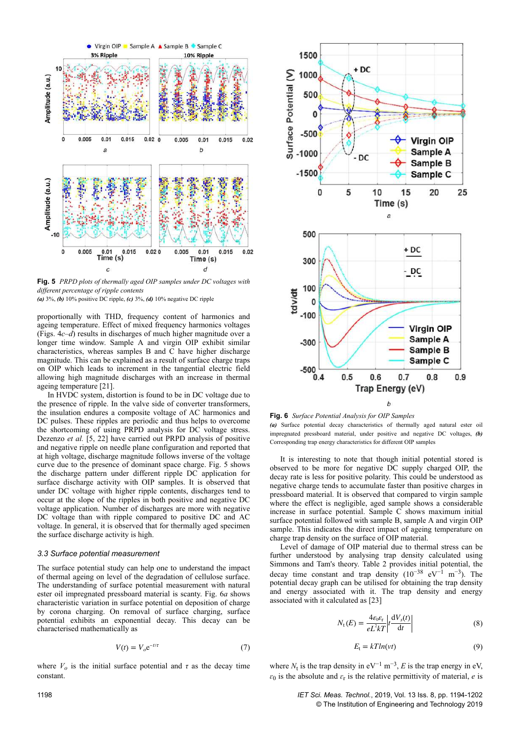

**Fig. 5** *PRPD plots of thermally aged OIP samples under DC voltages with different percentage of ripple contents*

*(a)* 3%, *(b)* 10% positive DC ripple, *(c)* 3%, *(d)* 10% negative DC ripple

proportionally with THD, frequency content of harmonics and ageing temperature. Effect of mixed frequency harmonics voltages (Figs. 4*c*–*d*) results in discharges of much higher magnitude over a longer time window. Sample A and virgin OIP exhibit similar characteristics, whereas samples B and C have higher discharge magnitude. This can be explained as a result of surface charge traps on OIP which leads to increment in the tangential electric field allowing high magnitude discharges with an increase in thermal ageing temperature [21].

In HVDC system, distortion is found to be in DC voltage due to the presence of ripple. In the valve side of converter transformers, the insulation endures a composite voltage of AC harmonics and DC pulses. These ripples are periodic and thus helps to overcome the shortcoming of using PRPD analysis for DC voltage stress. Dezenzo *et al.* [5, 22] have carried out PRPD analysis of positive and negative ripple on needle plane configuration and reported that at high voltage, discharge magnitude follows inverse of the voltage curve due to the presence of dominant space charge. Fig. 5 shows the discharge pattern under different ripple DC application for surface discharge activity with OIP samples. It is observed that under DC voltage with higher ripple contents, discharges tend to occur at the slope of the ripples in both positive and negative DC voltage application. Number of discharges are more with negative DC voltage than with ripple compared to positive DC and AC voltage. In general, it is observed that for thermally aged specimen the surface discharge activity is high.

#### *3.3 Surface potential measurement*

The surface potential study can help one to understand the impact of thermal ageing on level of the degradation of cellulose surface. The understanding of surface potential measurement with natural ester oil impregnated pressboard material is scanty. Fig. 6*a* shows characteristic variation in surface potential on deposition of charge by corona charging. On removal of surface charging, surface potential exhibits an exponential decay. This decay can be characterised mathematically as

$$
V(t) = V_o e^{-t/\tau}
$$
 (7)

where  $V<sub>o</sub>$  is the initial surface potential and  $\tau$  as the decay time constant.



**Fig. 6** *Surface Potential Analysis for OIP Samples (a)* Surface potential decay characteristics of thermally aged natural ester oil impregnated pressboard material, under positive and negative DC voltages, *(b)* Corresponding trap energy characteristics for different OIP samples

It is interesting to note that though initial potential stored is observed to be more for negative DC supply charged OIP, the decay rate is less for positive polarity. This could be understood as negative charge tends to accumulate faster than positive charges in pressboard material. It is observed that compared to virgin sample where the effect is negligible, aged sample shows a considerable increase in surface potential. Sample  $\overline{C}$  shows maximum initial surface potential followed with sample B, sample A and virgin OIP sample. This indicates the direct impact of ageing temperature on charge trap density on the surface of OIP material.

Level of damage of OIP material due to thermal stress can be further understood by analysing trap density calculated using Simmons and Tam's theory. Table 2 provides initial potential, the decay time constant and trap density  $(10^{-38} \text{ eV}^{-1} \text{ m}^{-3})$ . The potential decay graph can be utilised for obtaining the trap density and energy associated with it. The trap density and energy associated with it calculated as [23]

$$
N_{\rm t}(E) = \frac{4\epsilon_0 \epsilon_{\rm r}}{eL^2 k T} \left| t \frac{\mathrm{d}V_s(t)}{\mathrm{d}t} \right| \tag{8}
$$

$$
E_t = kT ln(vt)
$$
\n(9)

where  $N_t$  is the trap density in eV<sup>-1</sup> m<sup>-3</sup>, *E* is the trap energy in eV,  $\varepsilon_0$  is the absolute and  $\varepsilon_r$  is the relative permittivity of material, *e* is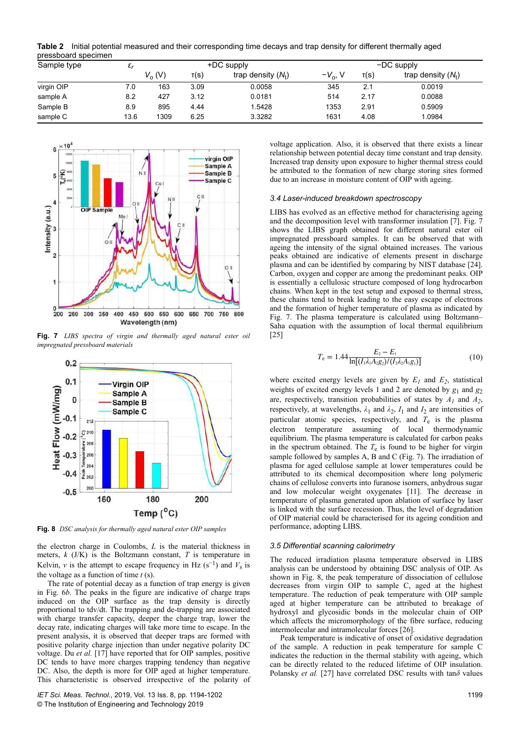**Table 2** Initial potential measured and their corresponding time decays and trap density for different thermally aged pressboard specimen

| Sample type | $\varepsilon_{r}$ |          |      | +DC supply           | $-DC$ supply |      |                      |  |  |  |
|-------------|-------------------|----------|------|----------------------|--------------|------|----------------------|--|--|--|
|             |                   | $V_o(V)$ | T(S) | trap density $(N_t)$ | $-Vo$ , V    | T(S) | trap density $(N_t)$ |  |  |  |
| virgin OIP  | 7.0               | 163      | 3.09 | 0.0058               | 345          | 2.1  | 0.0019               |  |  |  |
| sample A    | 8.2               | 427      | 3.12 | 0.0181               | 514          | 2.17 | 0.0088               |  |  |  |
| Sample B    | 8.9               | 895      | 4.44 | .5428                | 1353         | 2.91 | 0.5909               |  |  |  |
| sample C    | 13.6              | 1309     | 6.25 | 3.3282               | 1631         | 4.08 | 1.0984               |  |  |  |



**Fig. 7** *LIBS spectra of virgin and thermally aged natural ester oil impregnated pressboard materials*



**Fig. 8** *DSC analysis for thermally aged natural ester OIP samples* 

the electron charge in Coulombs, *L* is the material thickness in meters, *k* (J/K) is the Boltzmann constant, *T* is temperature in Kelvin, *v* is the attempt to escape frequency in Hz  $(s^{-1})$  and  $V_s$  is the voltage as a function of time *t* (s).

The rate of potential decay as a function of trap energy is given in Fig. 6*b*. The peaks in the figure are indicative of charge traps induced on the OIP surface as the trap density is directly proportional to tdv/dt. The trapping and de-trapping are associated with charge transfer capacity, deeper the charge trap, lower the decay rate, indicating charges will take more time to escape. In the present analysis, it is observed that deeper traps are formed with positive polarity charge injection than under negative polarity DC voltage. Du *et al.* [17] have reported that for OIP samples, positive DC tends to have more charges trapping tendency than negative DC. Also, the depth is more for OIP aged at higher temperature. This characteristic is observed irrespective of the polarity of

*IET Sci. Meas. Technol.*, 2019, Vol. 13 Iss. 8, pp. 1194-1202 © The Institution of Engineering and Technology 2019

voltage application. Also, it is observed that there exists a linear relationship between potential decay time constant and trap density. Increased trap density upon exposure to higher thermal stress could be attributed to the formation of new charge storing sites formed due to an increase in moisture content of OIP with ageing.

# *3.4 Laser-induced breakdown spectroscopy*

LIBS has evolved as an effective method for characterising ageing and the decomposition level with transformer insulation [7]. Fig. 7 shows the LIBS graph obtained for different natural ester oil impregnated pressboard samples. It can be observed that with ageing the intensity of the signal obtained increases. The various peaks obtained are indicative of elements present in discharge plasma and can be identified by comparing by NIST database [24]. Carbon, oxygen and copper are among the predominant peaks. OIP is essentially a cellulosic structure composed of long hydrocarbon chains. When kept in the test setup and exposed to thermal stress, these chains tend to break leading to the easy escape of electrons and the formation of higher temperature of plasma as indicated by Fig. 7. The plasma temperature is calculated using Boltzmann– Saha equation with the assumption of local thermal equilibrium [25]

$$
T_{\rm e} = 1.44 \frac{E_2 - E_1}{\ln[(I_1 \lambda_1 A_2 g_2)/(I_2 \lambda_2 A_1 g_1)]}
$$
(10)

where excited energy levels are given by  $E_I$  and  $E_2$ , statistical weights of excited energy levels 1 and 2 are denoted by  $g_1$  and  $g_2$ are, respectively, transition probabilities of states by  $A_I$  and  $A_2$ , respectively, at wavelengths,  $\lambda_1$  and  $\lambda_2$ ,  $I_1$  and  $I_2$  are intensities of particular atomic species, respectively, and  $T_e$  is the plasma electron temperature assuming of local thermodynamic equilibrium. The plasma temperature is calculated for carbon peaks in the spectrum obtained. The  $T_e$  is found to be higher for virgin sample followed by samples A, B and C (Fig. 7). The irradiation of plasma for aged cellulose sample at lower temperatures could be attributed to its chemical decomposition where long polymeric chains of cellulose converts into furanose isomers, anhydrous sugar and low molecular weight oxygenates [11]. The decrease in temperature of plasma generated upon ablation of surface by laser is linked with the surface recession. Thus, the level of degradation of OIP material could be characterised for its ageing condition and performance, adopting LIBS.

#### *3.5 Differential scanning calorimetry*

The reduced irradiation plasma temperature observed in LIBS analysis can be understood by obtaining DSC analysis of OIP. As shown in Fig. 8, the peak temperature of dissociation of cellulose decreases from virgin OIP to sample C, aged at the highest temperature. The reduction of peak temperature with OIP sample aged at higher temperature can be attributed to breakage of hydroxyl and glycosidic bonds in the molecular chain of OIP which affects the micromorphology of the fibre surface, reducing intermolecular and intramolecular forces [26].

Peak temperature is indicative of onset of oxidative degradation of the sample. A reduction in peak temperature for sample C indicates the reduction in the thermal stability with ageing, which can be directly related to the reduced lifetime of OIP insulation. Polansky *et al.* [27] have correlated DSC results with tan*δ* values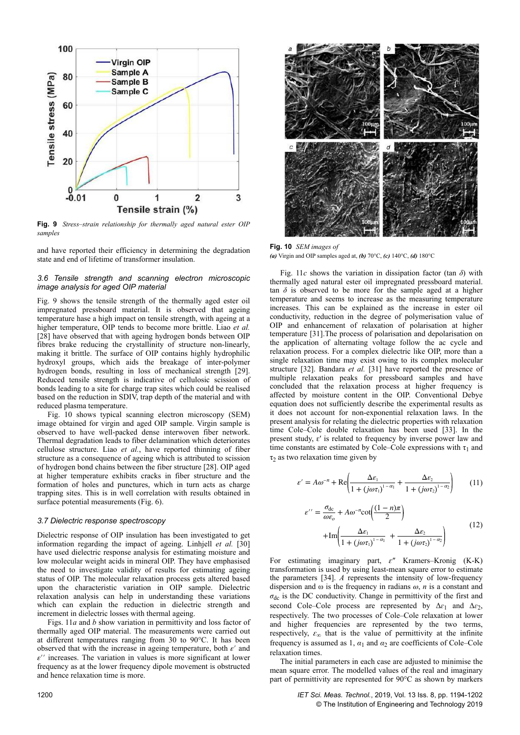

**Fig. 9** *Stress-strain relationship for thermally aged natural ester OIP samples*

and have reported their efficiency in determining the degradation state and end of lifetime of transformer insulation.

## *3.6 Tensile strength and scanning electron microscopic image analysis for aged OIP material*

Fig. 9 shows the tensile strength of the thermally aged ester oil impregnated pressboard material. It is observed that ageing temperature hase a high impact on tensile strength, with ageing at a higher temperature, OIP tends to become more brittle. Liao *et al.* [28] have observed that with ageing hydrogen bonds between OIP fibres brake reducing the crystallinity of structure non-linearly, making it brittle. The surface of OIP contains highly hydrophilic hydroxyl groups, which aids the breakage of inter-polymer hydrogen bonds, resulting in loss of mechanical strength [29]. Reduced tensile strength is indicative of cellulosic scission of bonds leading to a site for charge trap sites which could be realised based on the reduction in SDIV, trap depth of the material and with reduced plasma temperature.

Fig. 10 shows typical scanning electron microscopy (SEM) image obtained for virgin and aged OIP sample. Virgin sample is observed to have well-packed dense interwoven fiber network. Thermal degradation leads to fiber delamination which deteriorates cellulose structure. Liao *et al.*, have reported thinning of fiber structure as a consequence of ageing which is attributed to scission of hydrogen bond chains between the fiber structure [28]. OIP aged at higher temperature exhibits cracks in fiber structure and the formation of holes and punctures, which in turn acts as charge trapping sites. This is in well correlation with results obtained in surface potential measurements (Fig. 6).

#### *3.7 Dielectric response spectroscopy*

Dielectric response of OIP insulation has been investigated to get information regarding the impact of ageing. Linhjell *et al.* [30] have used dielectric response analysis for estimating moisture and low molecular weight acids in mineral OIP. They have emphasised the need to investigate validity of results for estimating ageing status of OIP. The molecular relaxation process gets altered based upon the characteristic variation in OIP sample. Dielectric relaxation analysis can help in understanding these variations which can explain the reduction in dielectric strength and increment in dielectric losses with thermal ageing.

Figs. 11*a* and *b* show variation in permittivity and loss factor of thermally aged OIP material. The measurements were carried out at different temperatures ranging from 30 to 90°C. It has been observed that with the increase in ageing temperature, both *ε*′ and *ε*′′ increases. The variation in values is more significant at lower frequency as at the lower frequency dipole movement is obstructed and hence relaxation time is more.



**Fig. 10** *SEM images of (a)* Virgin and OIP samples aged at, *(b)* 70°C, *(c)* 140°C, *(d)* 180°C

Fig. 11*c* shows the variation in dissipation factor (tan *δ*) with thermally aged natural ester oil impregnated pressboard material. tan  $\delta$  is observed to be more for the sample aged at a higher temperature and seems to increase as the measuring temperature increases. This can be explained as the increase in ester oil conductivity, reduction in the degree of polymerisation value of OIP and enhancement of relaxation of polarisation at higher temperature [31].The process of polarisation and depolarisation on the application of alternating voltage follow the ac cycle and relaxation process. For a complex dielectric like OIP, more than a single relaxation time may exist owing to its complex molecular structure [32]. Bandara *et al.* [31] have reported the presence of multiple relaxation peaks for pressboard samples and have concluded that the relaxation process at higher frequency is affected by moisture content in the OIP. Conventional Debye equation does not sufficiently describe the experimental results as it does not account for non-exponential relaxation laws. In the present analysis for relating the dielectric properties with relaxation time Cole–Cole double relaxation has been used [33]. In the present study,  $\varepsilon'$  is related to frequency by inverse power law and time constants are estimated by Cole–Cole expressions with  $\tau_1$  and  $\tau_2$  as two relaxation time given by

$$
\varepsilon' = A\omega^{-n} + \text{Re}\left(\frac{\Delta\varepsilon_1}{1 + (j\omega\tau_1)^{1-\alpha_1}} + \frac{\Delta\varepsilon_2}{1 + (j\omega\tau_2)^{1-\alpha_2}}\right) \tag{11}
$$

$$
\varepsilon^{\prime\prime} = \frac{\sigma_{\rm dc}}{\omega \varepsilon_o} + A\omega^{-n} \cot\left(\frac{(1-n)\pi}{2}\right)
$$

$$
+ \text{Im}\left(\frac{\Delta \varepsilon_1}{1 + (j\omega \tau_1)^{1-\alpha_1}} + \frac{\Delta \varepsilon_2}{1 + (j\omega \tau_2)^{1-\alpha_2}}\right)
$$
(12)

For estimating imaginary part, *ԑ*Ǝ Kramers–Kronig (K-K) transformation is used by using least-mean square error to estimate the parameters [34]. *A* represents the intensity of low-frequency dispersion and ω is the frequency in radians *ω*, *n* is a constant and  $\sigma_{\rm dc}$  is the DC conductivity. Change in permittivity of the first and second Cole–Cole process are represented by Δ*ɛ*<sup>1</sup> and Δ*ɛ*<sup>2</sup> , respectively. The two processes of Cole–Cole relaxation at lower and higher frequencies are represented by the two terms, respectively,  $\varepsilon_{\infty}$  that is the value of permittivity at the infinite frequency is assumed as 1,  $\alpha_1$  and  $\alpha_2$  are coefficients of Cole–Cole relaxation times.

The initial parameters in each case are adjusted to minimise the mean square error. The modelled values of the real and imaginary part of permittivity are represented for 90°C as shown by markers

1200 *IET Sci. Meas. Technol.*, 2019, Vol. 13 Iss. 8, pp. 1194-1202 © The Institution of Engineering and Technology 2019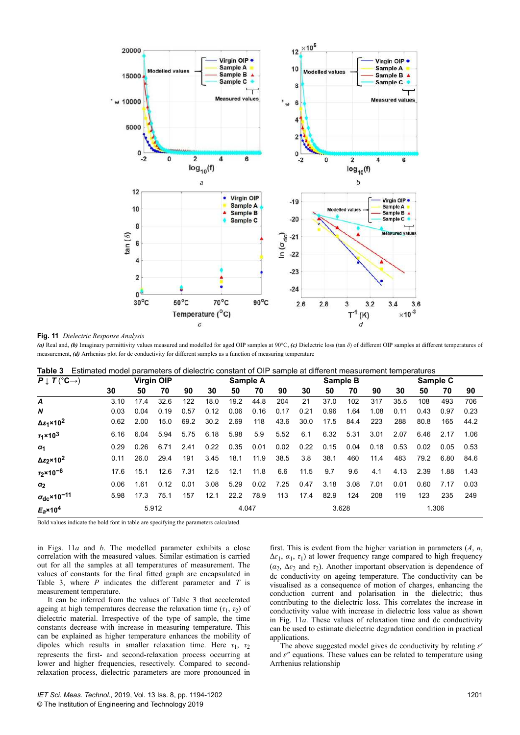

#### **Fig. 11** *Dielectric Response Analysis*

*(a)* Real and, *(b)* Imaginary permittivity values measured and modelled for aged OIP samples at 90°C, *(c)* Dielectric loss (tan *δ*) of different OIP samples at different temperatures of measurement, *(d)* Arrhenius plot for dc conductivity for different samples as a function of measuring temperature

|  | <b>Table 3</b> Estimated model parameters of dielectric constant of OIP sample at different measurement temperatures |  |  |  |  |  |  |
|--|----------------------------------------------------------------------------------------------------------------------|--|--|--|--|--|--|
|--|----------------------------------------------------------------------------------------------------------------------|--|--|--|--|--|--|

| $P \downarrow T(^{\circ}C \rightarrow)$ | <b>Virgin OIP</b> |                 |      | Sample A |      |      | Sample B |      |      |      | Sample C  |       |      |      |      |      |
|-----------------------------------------|-------------------|-----------------|------|----------|------|------|----------|------|------|------|-----------|-------|------|------|------|------|
|                                         | 30                | 50              | 70   | 90       | 30   | 50   | 70       | 90   | 30   | 50   | 70        | 90    | 30   | 50   | 70   | 90   |
| A                                       | 3.10              | 17 <sub>4</sub> | 32.6 | 122      | 18.0 | 19.2 | 44.8     | 204  | 21   | 37.0 | 102       | 317   | 35.5 | 108  | 493  | 706  |
| N                                       | 0.03              | 0.04            | 0.19 | 0.57     | 0.12 | 0.06 | 0.16     | 0.17 | 0.21 | 0.96 | 1.64      | 1.08  | 0.11 | 0.43 | 0.97 | 0.23 |
| $Δε1$ × 10 <sup>2</sup>                 | 0.62              | 2.00            | 15.0 | 69.2     | 30.2 | 2.69 | 118      | 43.6 | 30.0 | 17.5 | 84.4      | 223   | 288  | 80.8 | 165  | 44.2 |
| $r_1 \times 10^3$                       | 6.16              | 6.04            | 5.94 | 5.75     | 6.18 | 5.98 | 5.9      | 5.52 | 6.1  |      | 6.32 5.31 | 3.01  | 2.07 | 6.46 | 2.17 | 1.06 |
| $\alpha_1$                              | 0.29              | 0.26            | 6.71 | 2.41     | 0.22 | 0.35 | 0.01     | 0.02 | 0.22 | 0.15 | 0.04      | 0.18  | 0.53 | 0.02 | 0.05 | 0.53 |
| Δε <sub>2</sub> ×10 <sup>2</sup>        | 0.11              | 26.0            | 29.4 | 191      | 3.45 | 18.1 | 11.9     | 38.5 | 3.8  | 38.1 | 460       | 11.4  | 483  | 79.2 | 6.80 | 84.6 |
| $T_2 \times 10^{-6}$                    | 17.6              | 15.1            | 12.6 | 7.31     | 12.5 | 12.1 | 11.8     | 6.6  | 11.5 | 9.7  | 9.6       | 4.1   | 4.13 | 2.39 | 1.88 | 1.43 |
| $\alpha_2$                              | 0.06              | 1.61            | 0.12 | 0.01     | 3.08 | 5.29 | 0.02     | 7.25 | 0.47 | 3.18 | 3.08      | 7.01  | 0.01 | 0.60 | 7.17 | 0.03 |
| $\sigma_{\rm dc}$ ×10 <sup>-11</sup>    | 5.98              | 17.3            | 75.1 | 157      | 12.1 | 22.2 | 78.9     | 113  | 17.4 | 82.9 | 124       | 208   | 119  | 123  | 235  | 249  |
| $E_a$ ×10 <sup>4</sup>                  | 5.912             |                 |      | 4.047    |      |      | 3.628    |      |      |      |           | 1.306 |      |      |      |      |

Bold values indicate the bold font in table are specifying the parameters calculated.

in Figs. 11*a* and *b*. The modelled parameter exhibits a close correlation with the measured values. Similar estimation is carried out for all the samples at all temperatures of measurement. The values of constants for the final fitted graph are encapsulated in Table 3, where *P* indicates the different parameter and *T* is measurement temperature.

It can be inferred from the values of Table 3 that accelerated ageing at high temperatures decrease the relaxation time  $(\tau_1, \tau_2)$  of dielectric material. Irrespective of the type of sample, the time constants decrease with increase in measuring temperature. This can be explained as higher temperature enhances the mobility of dipoles which results in smaller relaxation time. Here  $\tau_1$ ,  $\tau_2$ represents the first- and second-relaxation process occurring at lower and higher frequencies, resectively. Compared to secondrelaxation process, dielectric parameters are more pronounced in

first. This is evdent from the higher variation in parameters (*A*, *n*,  $\Delta \varepsilon_1$ ,  $\alpha_1$ ,  $\tau_1$ ) at lower frequency range compared to high frequency  $(\alpha_2, \Delta \varepsilon_2)$  and  $\tau_2$ ). Another important observation is dependence of dc conductivity on ageing temperature. The conductivity can be visualised as a consequence of motion of charges, enhancing the conduction current and polarisation in the dielectric; thus contributing to the dielectric loss. This correlates the increase in conductivity value with increase in dielectric loss value as shown in Fig. 11*a*. These values of relaxation time and dc conductivity can be used to estimate dielectric degradation condition in practical applications.

The above suggested model gives dc conductivity by relating  $\varepsilon'$ and  $\varepsilon$ <sup>*''*</sup> equations. These values can be related to temperature using Arrhenius relationship